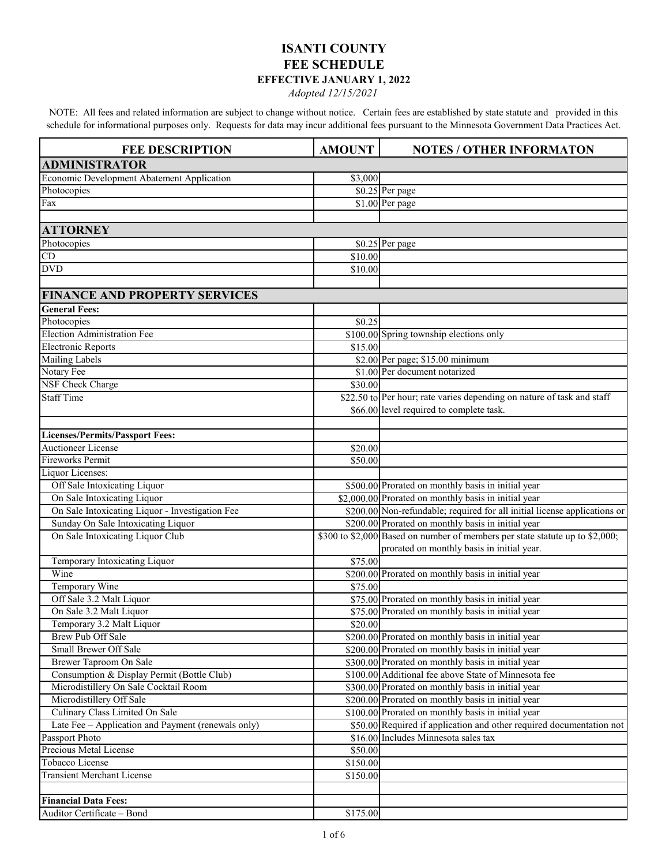## **ISANTI COUNTY FEE SCHEDULE EFFECTIVE JANUARY 1, 2022**

*Adopted 12/15/2021*

NOTE: All fees and related information are subject to change without notice. Certain fees are established by state statute and provided in this schedule for informational purposes only. Requests for data may incur additional fees pursuant to the Minnesota Government Data Practices Act.

| <b>FEE DESCRIPTION</b>                                                              | <b>AMOUNT</b>       | <b>NOTES / OTHER INFORMATON</b>                                                                            |
|-------------------------------------------------------------------------------------|---------------------|------------------------------------------------------------------------------------------------------------|
| <b>ADMINISTRATOR</b>                                                                |                     |                                                                                                            |
| Economic Development Abatement Application                                          | \$3,000             |                                                                                                            |
| Photocopies                                                                         |                     | \$0.25 Per page                                                                                            |
| Fax                                                                                 |                     | \$1.00 Per page                                                                                            |
|                                                                                     |                     |                                                                                                            |
| <b>ATTORNEY</b>                                                                     |                     |                                                                                                            |
| Photocopies                                                                         |                     | \$0.25 Per page                                                                                            |
| CD                                                                                  | \$10.00             |                                                                                                            |
| <b>DVD</b>                                                                          | \$10.00             |                                                                                                            |
|                                                                                     |                     |                                                                                                            |
| <b>FINANCE AND PROPERTY SERVICES</b>                                                |                     |                                                                                                            |
| <b>General Fees:</b>                                                                |                     |                                                                                                            |
| Photocopies                                                                         | \$0.25              |                                                                                                            |
| <b>Election Administration Fee</b>                                                  |                     | \$100.00 Spring township elections only                                                                    |
| <b>Electronic Reports</b>                                                           | \$15.00             |                                                                                                            |
| <b>Mailing Labels</b>                                                               |                     | \$2.00 Per page; \$15.00 minimum                                                                           |
| Notary Fee                                                                          |                     | \$1.00 Per document notarized                                                                              |
| NSF Check Charge                                                                    | \$30.00             |                                                                                                            |
| <b>Staff Time</b>                                                                   |                     | \$22.50 to Per hour; rate varies depending on nature of task and staff                                     |
|                                                                                     |                     | \$66.00 level required to complete task.                                                                   |
|                                                                                     |                     |                                                                                                            |
| <b>Licenses/Permits/Passport Fees:</b>                                              |                     |                                                                                                            |
| <b>Auctioneer License</b>                                                           | \$20.00             |                                                                                                            |
| <b>Fireworks Permit</b>                                                             | \$50.00             |                                                                                                            |
| Liquor Licenses:                                                                    |                     |                                                                                                            |
| Off Sale Intoxicating Liquor                                                        |                     | \$500.00 Prorated on monthly basis in initial year                                                         |
| On Sale Intoxicating Liquor                                                         |                     | \$2,000.00 Prorated on monthly basis in initial year                                                       |
| On Sale Intoxicating Liquor - Investigation Fee                                     |                     | \$200.00 Non-refundable; required for all initial license applications or                                  |
| Sunday On Sale Intoxicating Liquor                                                  |                     | \$200.00 Prorated on monthly basis in initial year                                                         |
| On Sale Intoxicating Liquor Club                                                    |                     | \$300 to \$2,000 Based on number of members per state statute up to \$2,000;                               |
|                                                                                     |                     | prorated on monthly basis in initial year.                                                                 |
| Temporary Intoxicating Liquor                                                       | \$75.00             |                                                                                                            |
| Wine                                                                                |                     | \$200.00 Prorated on monthly basis in initial year                                                         |
| Temporary Wine                                                                      | \$75.00             |                                                                                                            |
| Off Sale 3.2 Malt Liquor                                                            |                     | \$75.00 Prorated on monthly basis in initial year                                                          |
| On Sale 3.2 Malt Liquor                                                             |                     | \$75.00 Prorated on monthly basis in initial year                                                          |
| Temporary 3.2 Malt Liquor                                                           | \$20.00             |                                                                                                            |
| Brew Pub Off Sale                                                                   |                     | \$200.00 Prorated on monthly basis in initial year                                                         |
| Small Brewer Off Sale                                                               |                     | \$200.00 Prorated on monthly basis in initial year                                                         |
| Brewer Taproom On Sale                                                              |                     | \$300.00 Prorated on monthly basis in initial year<br>\$100.00 Additional fee above State of Minnesota fee |
| Consumption & Display Permit (Bottle Club)<br>Microdistillery On Sale Cocktail Room |                     |                                                                                                            |
| Microdistillery Off Sale                                                            |                     | \$300.00 Prorated on monthly basis in initial year<br>\$200.00 Prorated on monthly basis in initial year   |
| Culinary Class Limited On Sale                                                      |                     | \$100.00 Prorated on monthly basis in initial year                                                         |
| Late Fee - Application and Payment (renewals only)                                  |                     | \$50.00 Required if application and other required documentation not                                       |
| Passport Photo                                                                      |                     | \$16.00 Includes Minnesota sales tax                                                                       |
| Precious Metal License                                                              |                     |                                                                                                            |
| Tobacco License                                                                     | \$50.00<br>\$150.00 |                                                                                                            |
| <b>Transient Merchant License</b>                                                   | \$150.00            |                                                                                                            |
|                                                                                     |                     |                                                                                                            |
| <b>Financial Data Fees:</b>                                                         |                     |                                                                                                            |
| Auditor Certificate - Bond                                                          | \$175.00            |                                                                                                            |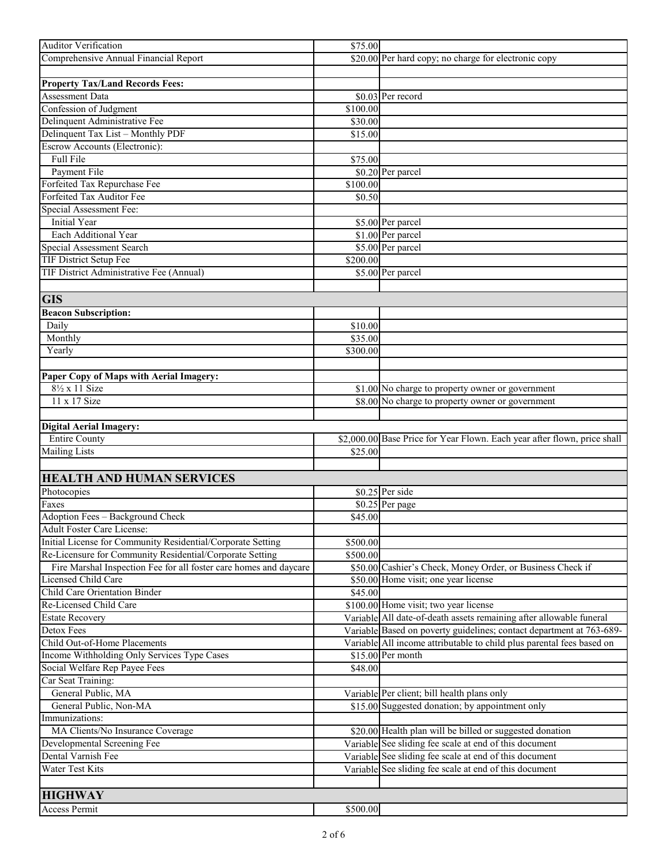| Auditor Verification                                              | \$75.00  |                                                                          |
|-------------------------------------------------------------------|----------|--------------------------------------------------------------------------|
| Comprehensive Annual Financial Report                             |          | \$20.00 Per hard copy; no charge for electronic copy                     |
|                                                                   |          |                                                                          |
| <b>Property Tax/Land Records Fees:</b>                            |          |                                                                          |
| <b>Assessment Data</b>                                            |          | \$0.03 Per record                                                        |
| Confession of Judgment                                            | \$100.00 |                                                                          |
| Delinquent Administrative Fee                                     | \$30.00  |                                                                          |
| Delinquent Tax List - Monthly PDF                                 | \$15.00  |                                                                          |
| Escrow Accounts (Electronic):                                     |          |                                                                          |
| Full File                                                         | \$75.00  |                                                                          |
| Payment File                                                      |          | \$0.20 Per parcel                                                        |
| Forfeited Tax Repurchase Fee                                      | \$100.00 |                                                                          |
| Forfeited Tax Auditor Fee                                         | \$0.50   |                                                                          |
| Special Assessment Fee:                                           |          |                                                                          |
| <b>Initial Year</b>                                               |          | \$5.00 Per parcel                                                        |
| Each Additional Year                                              |          | \$1.00 Per parcel                                                        |
| Special Assessment Search                                         |          | \$5.00 Per parcel                                                        |
| <b>TIF District Setup Fee</b>                                     | \$200.00 |                                                                          |
| TIF District Administrative Fee (Annual)                          |          | \$5.00 Per parcel                                                        |
|                                                                   |          |                                                                          |
| <b>GIS</b>                                                        |          |                                                                          |
| <b>Beacon Subscription:</b>                                       |          |                                                                          |
| Daily                                                             | \$10.00  |                                                                          |
| Monthly                                                           | \$35.00  |                                                                          |
| Yearly                                                            | \$300.00 |                                                                          |
|                                                                   |          |                                                                          |
| Paper Copy of Maps with Aerial Imagery:                           |          |                                                                          |
| $8\frac{1}{2}$ x 11 Size                                          |          | \$1.00 No charge to property owner or government                         |
| 11 x 17 Size                                                      |          | \$8.00 No charge to property owner or government                         |
|                                                                   |          |                                                                          |
| <b>Digital Aerial Imagery:</b>                                    |          |                                                                          |
| <b>Entire County</b>                                              |          | \$2,000.00 Base Price for Year Flown. Each year after flown, price shall |
| <b>Mailing Lists</b>                                              | \$25.00  |                                                                          |
|                                                                   |          |                                                                          |
|                                                                   |          |                                                                          |
| <b>HEALTH AND HUMAN SERVICES</b>                                  |          |                                                                          |
| Photocopies                                                       |          | \$0.25 Per side                                                          |
| Faxes                                                             |          | $$0.25$ Per page                                                         |
| Adoption Fees - Background Check                                  | \$45.00  |                                                                          |
| Adult Foster Care License:                                        |          |                                                                          |
| Initial License for Community Residential/Corporate Setting       | \$500.00 |                                                                          |
| Re-Licensure for Community Residential/Corporate Setting          | \$500.00 |                                                                          |
| Fire Marshal Inspection Fee for all foster care homes and daycare |          | \$50.00 Cashier's Check, Money Order, or Business Check if               |
| Licensed Child Care                                               |          | \$50.00 Home visit; one year license                                     |
| <b>Child Care Orientation Binder</b>                              | \$45.00  |                                                                          |
| Re-Licensed Child Care                                            |          | \$100.00 Home visit; two year license                                    |
| <b>Estate Recovery</b>                                            |          | Variable All date-of-death assets remaining after allowable funeral      |
| Detox Fees                                                        |          | Variable Based on poverty guidelines; contact department at 763-689-     |
| Child Out-of-Home Placements                                      |          | Variable All income attributable to child plus parental fees based on    |
| Income Withholding Only Services Type Cases                       |          | \$15.00 Per month                                                        |
| Social Welfare Rep Payee Fees                                     | \$48.00  |                                                                          |
| Car Seat Training:                                                |          |                                                                          |
| General Public, MA                                                |          | Variable Per client; bill health plans only                              |
| General Public, Non-MA                                            |          | \$15.00 Suggested donation; by appointment only                          |
| Immunizations:                                                    |          |                                                                          |
| MA Clients/No Insurance Coverage                                  |          | \$20.00 Health plan will be billed or suggested donation                 |
| Developmental Screening Fee                                       |          | Variable See sliding fee scale at end of this document                   |
| Dental Varnish Fee                                                |          |                                                                          |
|                                                                   |          | Variable See sliding fee scale at end of this document                   |
| Water Test Kits                                                   |          | Variable See sliding fee scale at end of this document                   |
|                                                                   |          |                                                                          |
| <b>HIGHWAY</b>                                                    |          |                                                                          |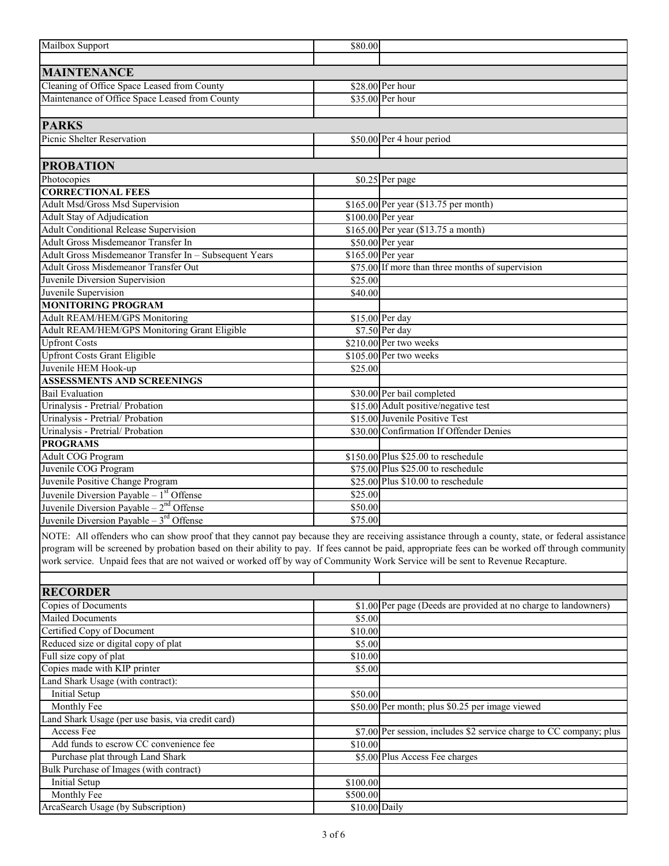| Mailbox Support                                                                                                                                                                                                                                                                      | \$80.00       |                                                                                  |
|--------------------------------------------------------------------------------------------------------------------------------------------------------------------------------------------------------------------------------------------------------------------------------------|---------------|----------------------------------------------------------------------------------|
|                                                                                                                                                                                                                                                                                      |               |                                                                                  |
| <b>MAINTENANCE</b>                                                                                                                                                                                                                                                                   |               | $$28.00$ Per hour                                                                |
| Cleaning of Office Space Leased from County<br>Maintenance of Office Space Leased from County                                                                                                                                                                                        |               | \$35.00 Per hour                                                                 |
|                                                                                                                                                                                                                                                                                      |               |                                                                                  |
| <b>PARKS</b>                                                                                                                                                                                                                                                                         |               |                                                                                  |
| Picnic Shelter Reservation                                                                                                                                                                                                                                                           |               | \$50.00 Per 4 hour period                                                        |
|                                                                                                                                                                                                                                                                                      |               |                                                                                  |
| <b>PROBATION</b>                                                                                                                                                                                                                                                                     |               |                                                                                  |
| Photocopies                                                                                                                                                                                                                                                                          |               | \$0.25 Per page                                                                  |
| <b>CORRECTIONAL FEES</b><br><b>Adult Msd/Gross Msd Supervision</b>                                                                                                                                                                                                                   |               | $$165.00$ Per year (\$13.75 per month)                                           |
| Adult Stay of Adjudication                                                                                                                                                                                                                                                           |               | \$100.00 Per year                                                                |
| <b>Adult Conditional Release Supervision</b>                                                                                                                                                                                                                                         |               | \$165.00 Per year (\$13.75 a month)                                              |
| Adult Gross Misdemeanor Transfer In                                                                                                                                                                                                                                                  |               | \$50.00 Per year                                                                 |
| Adult Gross Misdemeanor Transfer In - Subsequent Years                                                                                                                                                                                                                               |               | \$165.00 Per year                                                                |
| <b>Adult Gross Misdemeanor Transfer Out</b>                                                                                                                                                                                                                                          |               | \$75.00 If more than three months of supervision                                 |
| Juvenile Diversion Supervision                                                                                                                                                                                                                                                       | \$25.00       |                                                                                  |
| Juvenile Supervision                                                                                                                                                                                                                                                                 | \$40.00       |                                                                                  |
| <b>MONITORING PROGRAM</b>                                                                                                                                                                                                                                                            |               |                                                                                  |
| Adult REAM/HEM/GPS Monitoring                                                                                                                                                                                                                                                        |               | $$15.00$ Per day                                                                 |
| Adult REAM/HEM/GPS Monitoring Grant Eligible                                                                                                                                                                                                                                         |               | \$7.50 Per day                                                                   |
| <b>Upfront Costs</b>                                                                                                                                                                                                                                                                 |               | \$210.00 Per two weeks                                                           |
| <b>Upfront Costs Grant Eligible</b>                                                                                                                                                                                                                                                  |               | \$105.00 Per two weeks                                                           |
| Juvenile HEM Hook-up                                                                                                                                                                                                                                                                 | \$25.00       |                                                                                  |
| <b>ASSESSMENTS AND SCREENINGS</b>                                                                                                                                                                                                                                                    |               |                                                                                  |
| <b>Bail Evaluation</b>                                                                                                                                                                                                                                                               |               | \$30.00 Per bail completed                                                       |
| Urinalysis - Pretrial/ Probation                                                                                                                                                                                                                                                     |               | \$15.00 Adult positive/negative test                                             |
| Urinalysis - Pretrial/ Probation                                                                                                                                                                                                                                                     |               | \$15.00 Juvenile Positive Test                                                   |
| Urinalysis - Pretrial/ Probation                                                                                                                                                                                                                                                     |               | \$30.00 Confirmation If Offender Denies                                          |
| <b>PROGRAMS</b>                                                                                                                                                                                                                                                                      |               |                                                                                  |
| <b>Adult COG Program</b>                                                                                                                                                                                                                                                             |               | \$150.00 Plus \$25.00 to reschedule                                              |
| Juvenile COG Program                                                                                                                                                                                                                                                                 |               | \$75.00 Plus \$25.00 to reschedule                                               |
| Juvenile Positive Change Program                                                                                                                                                                                                                                                     |               | \$25.00 Plus \$10.00 to reschedule                                               |
| Juvenile Diversion Payable $-1st$ Offense                                                                                                                                                                                                                                            | \$25.00       |                                                                                  |
| Juvenile Diversion Payable - $2nd$ Offense                                                                                                                                                                                                                                           | \$50.00       |                                                                                  |
| Juvenile Diversion Payable – $3^{rd}$ Offense                                                                                                                                                                                                                                        | \$75.00       |                                                                                  |
| NOTE: All offenders who can show proof that they cannot pay because they are receiving assistance through a county, state, or federal assistance                                                                                                                                     |               |                                                                                  |
| program will be screened by probation based on their ability to pay. If fees cannot be paid, appropriate fees can be worked off through community<br>work service. Unpaid fees that are not waived or worked off by way of Community Work Service will be sent to Revenue Recapture. |               |                                                                                  |
|                                                                                                                                                                                                                                                                                      |               |                                                                                  |
| <b>RECORDER</b>                                                                                                                                                                                                                                                                      |               |                                                                                  |
| Copies of Documents                                                                                                                                                                                                                                                                  |               | \$1.00 Per page (Deeds are provided at no charge to landowners)                  |
| <b>Mailed Documents</b>                                                                                                                                                                                                                                                              | \$5.00        |                                                                                  |
| Certified Copy of Document                                                                                                                                                                                                                                                           | \$10.00       |                                                                                  |
| Reduced size or digital copy of plat                                                                                                                                                                                                                                                 | \$5.00        |                                                                                  |
| Full size copy of plat                                                                                                                                                                                                                                                               | \$10.00       |                                                                                  |
| Copies made with KIP printer                                                                                                                                                                                                                                                         | \$5.00        |                                                                                  |
| Land Shark Usage (with contract):                                                                                                                                                                                                                                                    |               |                                                                                  |
| Initial Setup                                                                                                                                                                                                                                                                        | \$50.00       |                                                                                  |
| Monthly Fee                                                                                                                                                                                                                                                                          |               | \$50.00 Per month; plus \$0.25 per image viewed                                  |
| Land Shark Usage (per use basis, via credit card)                                                                                                                                                                                                                                    |               |                                                                                  |
| Access Fee                                                                                                                                                                                                                                                                           |               | \$7.00 Per session, includes \$2 service charge to $\overline{CC}$ company; plus |
| Add funds to escrow CC convenience fee                                                                                                                                                                                                                                               | \$10.00       |                                                                                  |
| Purchase plat through Land Shark                                                                                                                                                                                                                                                     |               | \$5.00 Plus Access Fee charges                                                   |
| Bulk Purchase of Images (with contract)                                                                                                                                                                                                                                              |               |                                                                                  |
| Initial Setup                                                                                                                                                                                                                                                                        | \$100.00      |                                                                                  |
| Monthly Fee                                                                                                                                                                                                                                                                          | \$500.00      |                                                                                  |
| ArcaSearch Usage (by Subscription)                                                                                                                                                                                                                                                   | \$10.00 Daily |                                                                                  |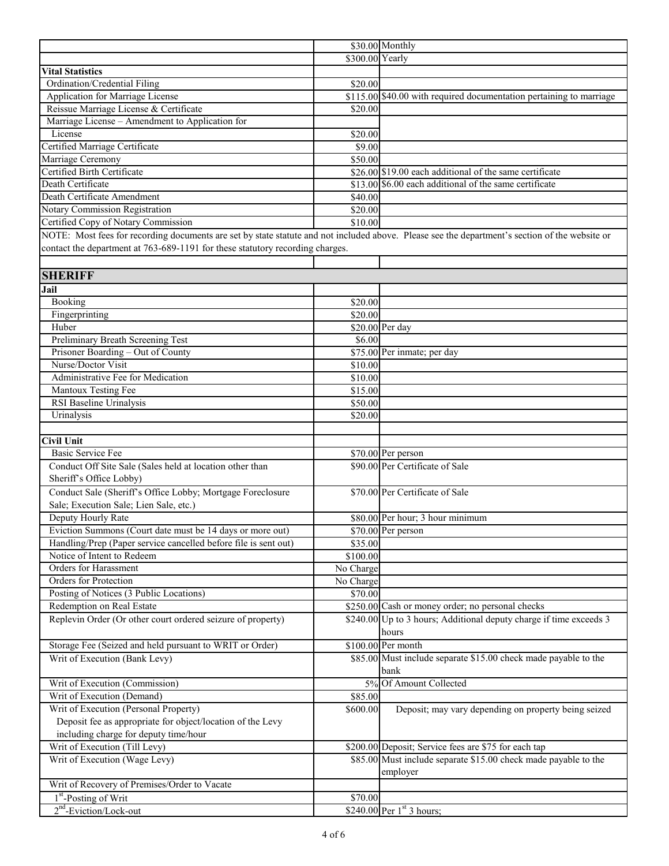|                                                                                                                                                |                    | \$30.00 Monthly                                                     |
|------------------------------------------------------------------------------------------------------------------------------------------------|--------------------|---------------------------------------------------------------------|
|                                                                                                                                                | \$300.00 Yearly    |                                                                     |
| <b>Vital Statistics</b>                                                                                                                        |                    |                                                                     |
| Ordination/Credential Filing                                                                                                                   | \$20.00            |                                                                     |
| Application for Marriage License                                                                                                               |                    | \$115.00 \$40.00 with required documentation pertaining to marriage |
| Reissue Marriage License & Certificate                                                                                                         | \$20.00            |                                                                     |
| Marriage License - Amendment to Application for                                                                                                |                    |                                                                     |
| License                                                                                                                                        | \$20.00            |                                                                     |
| Certified Marriage Certificate                                                                                                                 | \$9.00             |                                                                     |
| Marriage Ceremony                                                                                                                              | \$50.00            |                                                                     |
| Certified Birth Certificate                                                                                                                    |                    | \$26.00 \$19.00 each additional of the same certificate             |
| Death Certificate                                                                                                                              |                    | \$13.00 \$6.00 each additional of the same certificate              |
| Death Certificate Amendment                                                                                                                    | \$40.00            |                                                                     |
| Notary Commission Registration                                                                                                                 | \$20.00            |                                                                     |
| Certified Copy of Notary Commission                                                                                                            | \$10.00            |                                                                     |
| NOTE: Most fees for recording documents are set by state statute and not included above. Please see the department's section of the website or |                    |                                                                     |
| contact the department at 763-689-1191 for these statutory recording charges.                                                                  |                    |                                                                     |
|                                                                                                                                                |                    |                                                                     |
| <b>SHERIFF</b>                                                                                                                                 |                    |                                                                     |
| Jail                                                                                                                                           |                    |                                                                     |
| Booking                                                                                                                                        |                    |                                                                     |
| Fingerprinting                                                                                                                                 | \$20.00<br>\$20.00 |                                                                     |
| Huber                                                                                                                                          |                    | \$20.00 Per day                                                     |
| Preliminary Breath Screening Test                                                                                                              | \$6.00             |                                                                     |
| Prisoner Boarding - Out of County                                                                                                              |                    |                                                                     |
| Nurse/Doctor Visit                                                                                                                             |                    | \$75.00 Per inmate; per day                                         |
| Administrative Fee for Medication                                                                                                              | \$10.00            |                                                                     |
|                                                                                                                                                | \$10.00            |                                                                     |
| Mantoux Testing Fee                                                                                                                            | \$15.00            |                                                                     |
| RSI Baseline Urinalysis                                                                                                                        | \$50.00            |                                                                     |
| Urinalysis                                                                                                                                     | \$20.00            |                                                                     |
| <b>Civil Unit</b>                                                                                                                              |                    |                                                                     |
| Basic Service Fee                                                                                                                              |                    |                                                                     |
|                                                                                                                                                |                    | \$70.00 Per person<br>\$90.00 Per Certificate of Sale               |
| Conduct Off Site Sale (Sales held at location other than                                                                                       |                    |                                                                     |
| Sheriff's Office Lobby)                                                                                                                        |                    |                                                                     |
| Conduct Sale (Sheriff's Office Lobby; Mortgage Foreclosure                                                                                     |                    | \$70.00 Per Certificate of Sale                                     |
| Sale; Execution Sale; Lien Sale, etc.)                                                                                                         |                    |                                                                     |
| Deputy Hourly Rate                                                                                                                             |                    | \$80.00 Per hour; 3 hour minimum                                    |
| Eviction Summons (Court date must be 14 days or more out)                                                                                      |                    | $$70.00$ Per person                                                 |
| Handling/Prep (Paper service cancelled before file is sent out)                                                                                | \$35.00            |                                                                     |
| Notice of Intent to Redeem                                                                                                                     | \$100.00           |                                                                     |
| Orders for Harassment                                                                                                                          | No Charge          |                                                                     |
| Orders for Protection                                                                                                                          | No Charge          |                                                                     |
| Posting of Notices (3 Public Locations)                                                                                                        | \$70.00            |                                                                     |
| Redemption on Real Estate                                                                                                                      |                    | \$250.00 Cash or money order; no personal checks                    |
| Replevin Order (Or other court ordered seizure of property)                                                                                    |                    | \$240.00 Up to 3 hours; Additional deputy charge if time exceeds 3  |
|                                                                                                                                                |                    | hours                                                               |
| Storage Fee (Seized and held pursuant to WRIT or Order)                                                                                        |                    | \$100.00 Per month                                                  |
| Writ of Execution (Bank Levy)                                                                                                                  |                    | \$85.00 Must include separate \$15.00 check made payable to the     |
|                                                                                                                                                |                    | bank                                                                |
| Writ of Execution (Commission)                                                                                                                 |                    | 5% Of Amount Collected                                              |
| Writ of Execution (Demand)                                                                                                                     | \$85.00            |                                                                     |
| Writ of Execution (Personal Property)                                                                                                          | \$600.00           | Deposit; may vary depending on property being seized                |
| Deposit fee as appropriate for object/location of the Levy                                                                                     |                    |                                                                     |
| including charge for deputy time/hour                                                                                                          |                    |                                                                     |
| Writ of Execution (Till Levy)                                                                                                                  |                    | \$200.00 Deposit; Service fees are \$75 for each tap                |
| Writ of Execution (Wage Levy)                                                                                                                  |                    | \$85.00 Must include separate \$15.00 check made payable to the     |
|                                                                                                                                                |                    | employer                                                            |
| Writ of Recovery of Premises/Order to Vacate                                                                                                   |                    |                                                                     |
| 1 <sup>st</sup> -Posting of Writ                                                                                                               | \$70.00            |                                                                     |
| $2nd$ -Eviction/Lock-out                                                                                                                       |                    | $$240.00$ Per 1st 3 hours;                                          |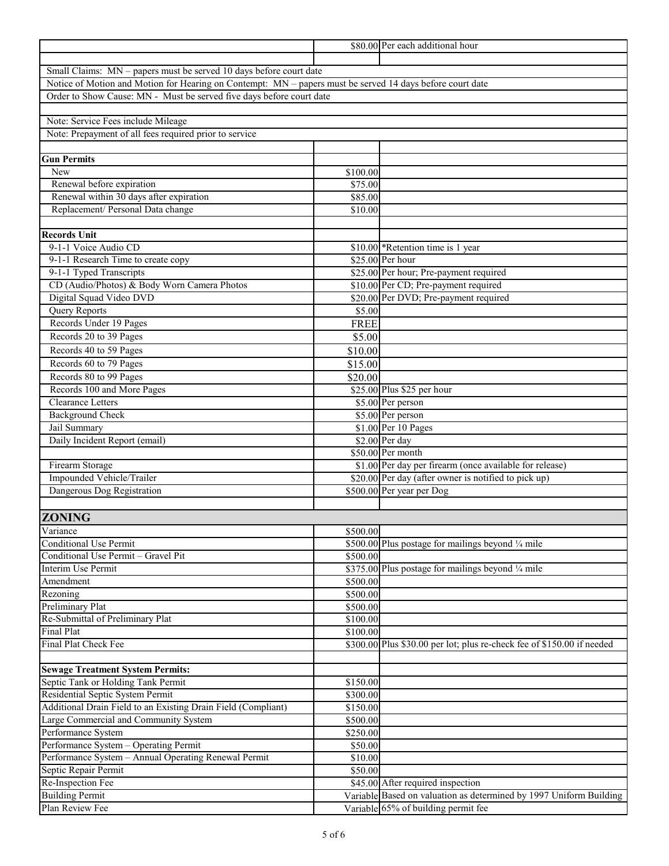|                                                                                                           |                      | \$80.00 Per each additional hour                                       |
|-----------------------------------------------------------------------------------------------------------|----------------------|------------------------------------------------------------------------|
|                                                                                                           |                      |                                                                        |
| Small Claims: MN - papers must be served 10 days before court date                                        |                      |                                                                        |
| Notice of Motion and Motion for Hearing on Contempt: MN - papers must be served 14 days before court date |                      |                                                                        |
| Order to Show Cause: MN - Must be served five days before court date                                      |                      |                                                                        |
|                                                                                                           |                      |                                                                        |
| Note: Service Fees include Mileage                                                                        |                      |                                                                        |
| Note: Prepayment of all fees required prior to service                                                    |                      |                                                                        |
|                                                                                                           |                      |                                                                        |
| <b>Gun Permits</b>                                                                                        |                      |                                                                        |
| New                                                                                                       | \$100.00             |                                                                        |
| Renewal before expiration                                                                                 | \$75.00              |                                                                        |
| Renewal within 30 days after expiration<br>Replacement/ Personal Data change                              | \$85.00              |                                                                        |
|                                                                                                           | \$10.00              |                                                                        |
| <b>Records Unit</b>                                                                                       |                      |                                                                        |
| 9-1-1 Voice Audio CD                                                                                      |                      | \$10.00 *Retention time is 1 year                                      |
| 9-1-1 Research Time to create copy                                                                        |                      | \$25.00 Per hour                                                       |
| 9-1-1 Typed Transcripts                                                                                   |                      | \$25.00 Per hour; Pre-payment required                                 |
| CD (Audio/Photos) & Body Worn Camera Photos                                                               |                      | \$10.00 Per CD; Pre-payment required                                   |
| Digital Squad Video DVD                                                                                   |                      | \$20.00 Per DVD; Pre-payment required                                  |
| <b>Query Reports</b>                                                                                      | \$5.00               |                                                                        |
| Records Under 19 Pages                                                                                    | <b>FREE</b>          |                                                                        |
| Records 20 to 39 Pages                                                                                    | \$5.00               |                                                                        |
| Records 40 to 59 Pages                                                                                    | \$10.00              |                                                                        |
| Records 60 to 79 Pages                                                                                    | \$15.00              |                                                                        |
| Records 80 to 99 Pages                                                                                    | \$20.00              |                                                                        |
| Records 100 and More Pages                                                                                |                      | \$25.00 Plus \$25 per hour                                             |
| Clearance Letters                                                                                         |                      | \$5.00 Per person                                                      |
| <b>Background Check</b>                                                                                   |                      | \$5.00 Per person                                                      |
| Jail Summary                                                                                              |                      | \$1.00 Per 10 Pages                                                    |
| Daily Incident Report (email)                                                                             |                      | \$2.00 Per day                                                         |
|                                                                                                           |                      | \$50.00 Per month                                                      |
| Firearm Storage                                                                                           |                      | \$1.00 Per day per firearm (once available for release)                |
| Impounded Vehicle/Trailer                                                                                 |                      | \$20.00 Per day (after owner is notified to pick up)                   |
| Dangerous Dog Registration                                                                                |                      | \$500.00 Per year per Dog                                              |
|                                                                                                           |                      |                                                                        |
| <b>ZONING</b>                                                                                             |                      |                                                                        |
| Variance                                                                                                  | \$500.00             |                                                                        |
| <b>Conditional Use Permit</b>                                                                             |                      | \$500.00 Plus postage for mailings beyond 1/4 mile                     |
| Conditional Use Permit - Gravel Pit                                                                       | \$500.00             |                                                                        |
| Interim Use Permit                                                                                        |                      | \$375.00 Plus postage for mailings beyond 1/4 mile                     |
| Amendment                                                                                                 | \$500.00             |                                                                        |
| Rezoning                                                                                                  | \$500.00             |                                                                        |
| <b>Preliminary Plat</b>                                                                                   | \$500.00             |                                                                        |
| Re-Submittal of Preliminary Plat                                                                          | \$100.00             |                                                                        |
| <b>Final Plat</b>                                                                                         | \$100.00             |                                                                        |
| Final Plat Check Fee                                                                                      |                      | \$300.00 Plus \$30.00 per lot; plus re-check fee of \$150.00 if needed |
|                                                                                                           |                      |                                                                        |
| <b>Sewage Treatment System Permits:</b><br>Septic Tank or Holding Tank Permit                             |                      |                                                                        |
| Residential Septic System Permit                                                                          | \$150.00<br>\$300.00 |                                                                        |
| Additional Drain Field to an Existing Drain Field (Compliant)                                             |                      |                                                                        |
| Large Commercial and Community System                                                                     | \$150.00<br>\$500.00 |                                                                        |
| Performance System                                                                                        | \$250.00             |                                                                        |
| Performance System - Operating Permit                                                                     | \$50.00              |                                                                        |
| Performance System - Annual Operating Renewal Permit                                                      | \$10.00              |                                                                        |
| Septic Repair Permit                                                                                      | \$50.00              |                                                                        |
| Re-Inspection Fee                                                                                         |                      | \$45.00 After required inspection                                      |
| <b>Building Permit</b>                                                                                    |                      | Variable Based on valuation as determined by 1997 Uniform Building     |
| Plan Review Fee                                                                                           |                      | Variable 65% of building permit fee                                    |